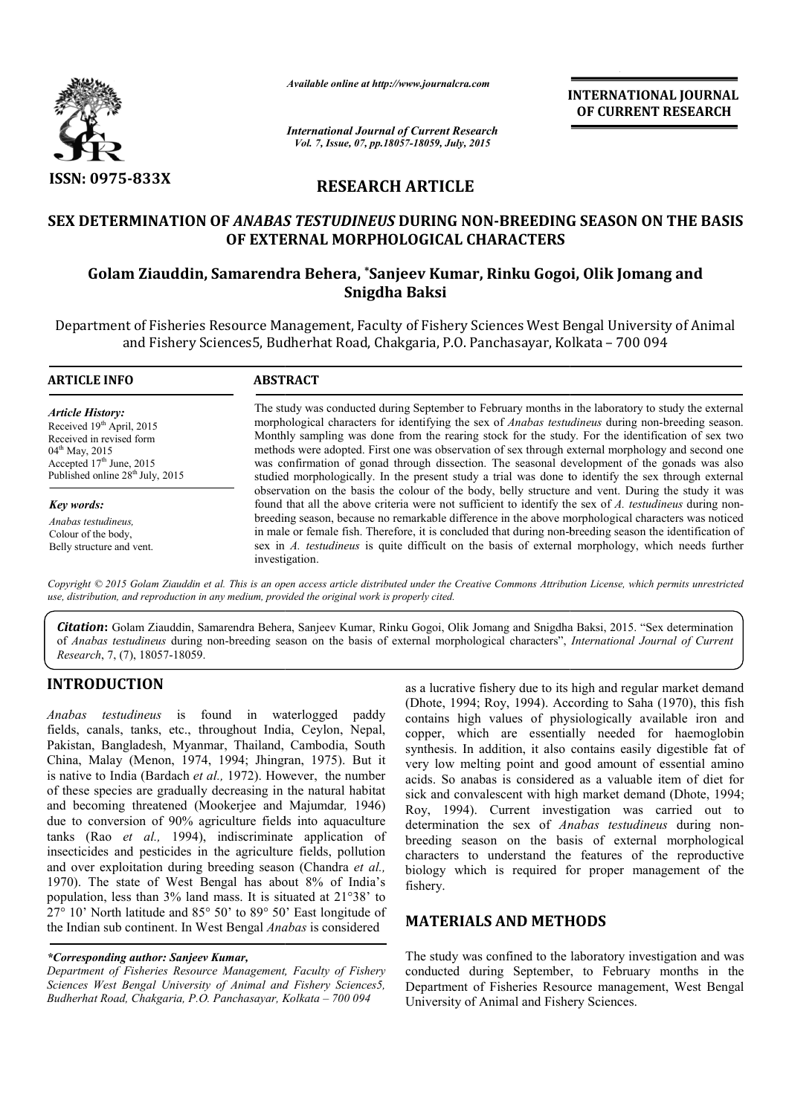

*Available online at http://www.journalcra.com*

*International Journal of Current Research Vol. 7, Issue, 07, pp.18057-18059, July, 2015*

**INTERNATIONAL INTERNATIONAL JOURNAL OF CURRENT RESEARCH** 

# **RESEARCH ARTICLE**

# **SEX DETERMINATION OF** *ANABAS TESTUDINEUS* **DURING NON-BREEDING SEASON ON THE BASIS OF EXTERNAL MORPHOLOGICAL CHARACTERS** ETERMINATION OF *ANABAS TESTUDINEUS* DURING NON-BREEDING SEASON ON THE I<br>OF EXTERNAL MORPHOLOGICAL CHARACTERS<br>Golam Ziauddin, Samarendra Behera, \*Sanjeev Kumar, Rinku Gogoi, Olik Jomang and

# **Snigdha Baksi**

Department of Fisheries Resource Management, Faculty of Fishery Sciences West Bengal University of Animal and Fishery Sciences5, Budherhat Road, Chakgaria, P.O. Panchasayar, Kolkata – 700 094 and Fishery Sciences5, Budherhat Road, Chakgaria, P.O. Panchasayar, Kolkata

| <b>ARTICLE INFO</b>                                                                                                                                                                                      | <b>ABSTRACT</b>                                                                                                                                                                                                                                                                                                                                                                                                                                                                                                                                                                                                             |  |  |
|----------------------------------------------------------------------------------------------------------------------------------------------------------------------------------------------------------|-----------------------------------------------------------------------------------------------------------------------------------------------------------------------------------------------------------------------------------------------------------------------------------------------------------------------------------------------------------------------------------------------------------------------------------------------------------------------------------------------------------------------------------------------------------------------------------------------------------------------------|--|--|
| <b>Article History:</b><br>Received 19 <sup>th</sup> April, 2015<br>Received in revised form<br>$04^{\text{th}}$ May, 2015<br>Accepted $17th$ June, 2015<br>Published online 28 <sup>th</sup> July, 2015 | The study was conducted during September to February months in the laboratory to study the external<br>morphological characters for identifying the sex of Anabas testudineus during non-breeding season.<br>Monthly sampling was done from the rearing stock for the study. For the identification of sex two<br>methods were adopted. First one was observation of sex through external morphology and second one<br>was confirmation of gonad through dissection. The seasonal development of the gonads was also<br>studied morphologically. In the present study a trial was done to identify the sex through external |  |  |
| Key words:                                                                                                                                                                                               | observation on the basis the colour of the body, belly structure and vent. During the study it was<br>found that all the above criteria were not sufficient to identify the sex of A, testudineus during non-                                                                                                                                                                                                                                                                                                                                                                                                               |  |  |
| Anabas testudineus.<br>Colour of the body,<br>Belly structure and vent.                                                                                                                                  | breeding season, because no remarkable difference in the above morphological characters was noticed<br>in male or female fish. Therefore, it is concluded that during non-breeding season the identification of<br>sex in A. testudineus is quite difficult on the basis of external morphology, which needs further<br>investigation.                                                                                                                                                                                                                                                                                      |  |  |

Copyright © 2015 Golam Ziauddin et al. This is an open access article distributed under the Creative Commons Attribution License, which permits unrestrictea *use, distribution, and reproduction in any medium, provided the original work is properly cited.*

Citation: Golam Ziauddin, Samarendra Behera, Sanjeev Kumar, Rinku Gogoi, Olik Jomang and Snigdha Baksi, 2015. "Sex determination of Anabas testudineus during non-breeding season on the basis of external morphological characters", International Journal of Current *Research*, 7, (7), 18057-18059.

# **INTRODUCTION**

*Anabas testudineus* is found in waterlogged paddy fields, canals, tanks, etc., throughout India, Ceylon, Nepal, Pakistan, Bangladesh, Myanmar, Thailand, Cambodia, South China, Malay (Menon, 1974, 1994; Jhingran, 1975). But it it is native to India (Bardach et al., 1972). However, the number of these species are gradually decreasing in the natural habitat and becoming threatened (Mookerjee and Majumdar *,* 1946) due to conversion of 90% agriculture fields into aquaculture tanks (Rao *et al.,* 1994), indiscriminate application of insecticides and pesticides in the agriculture fields, pollution and over exploitation during breeding season (Chandra *et al.,*  1970). The state of West Bengal has about 8% of India's population, less than 3% land mass. It is situated at 21°38' to  $27^{\circ}$  10' North latitude and 85 $^{\circ}$  50' to 89 $^{\circ}$  50' East longitude of the Indian sub continent. In West Bengal *Anabas*  is considered

#### *\*Corresponding author: Sanjeev Kumar,*

*Department of Fisheries Resource Management, Faculty of Fishery Sciences West Bengal University of Animal and Fishery Sciences5, Budherhat Road, Chakgaria, P.O. Panchasayar, Kolkata – 700 094*

as a lucrative fishery due to its high and regular market demand (Dhote, 1994; Roy, 1994). According to Saha (1970), this fish contains high values of physiologically available iron and copper, which are essentially needed for haemoglobin synthesis. In addition, it also contains easily digestible fat of very low melting point and good amount of essential amino acids. So anabas is considered as a valuable item of diet for sick and convalescent with high market demand (Dhote, 1994; Roy, 1994). Current investigation was carried out to determination the sex of *Anabas testudineus* during nonbreeding season on the basis of external morphological characters to understand the features of the reproductive breeding season on the basis of external morphological characters to understand the features of the reproductive biology which is required for proper management of the fishery. Roy, 1994). According to Saha (1970), this fish values of physiologically available iron and the are essentially needed for haemoglobin addition, it also contains easily digestible fat of ting point and good amount of ess **INTERNATIONAL JOURNAL**<br> **CONVERT RESEARCH**<br> **CONVERT RESEARCH**<br> **CONVERT RESEARCH**<br> **CONVERT RESOURCE SEASON ON THE BASIS**<br> **CHARACTERS**<br> **CONVERT RESOURCE SEASON ON THE BASIS**<br> **CONVERT RESOURCE SEASON ON THE BASIS**<br> **CO** 

### **MATERIALS AND METHODS METHODS**

The study was confined to the laboratory investigation and was conducted during September, to February months in the Department of Fisheries Resource management, West Bengal University of Animal and Fishery Sciences.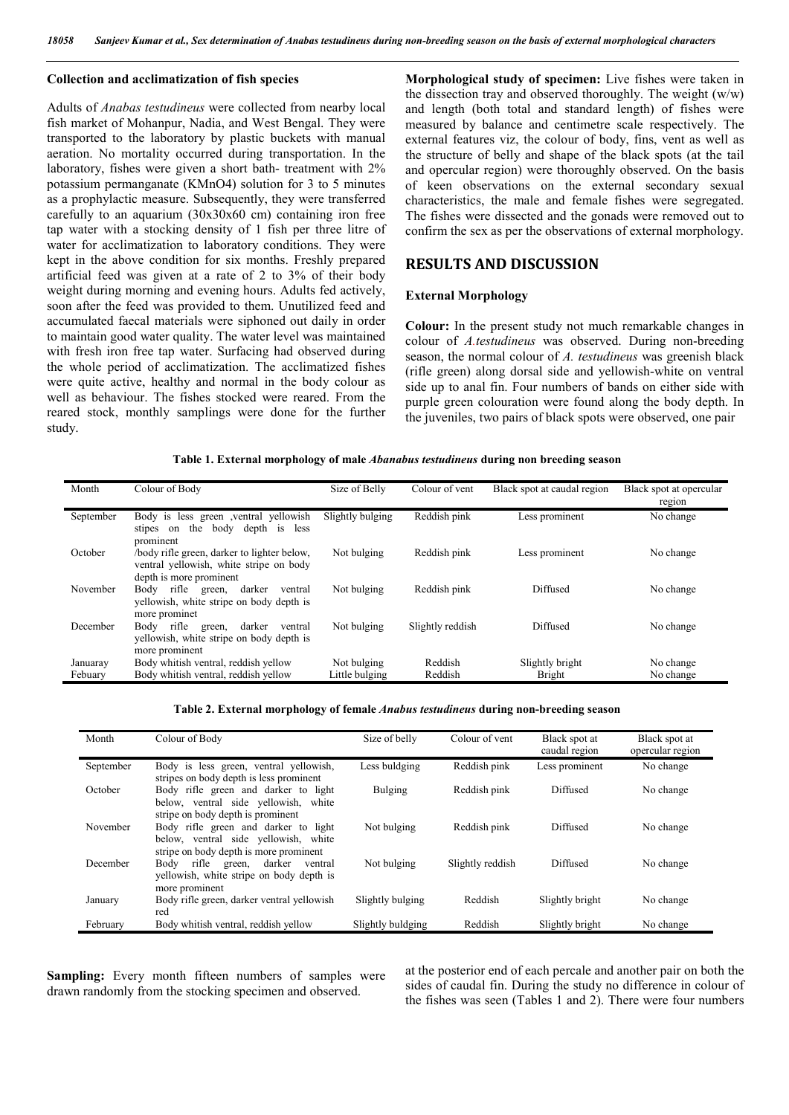#### **Collection and acclimatization of fish species**

Adults of *Anabas testudineus* were collected from nearby local fish market of Mohanpur, Nadia, and West Bengal. They were transported to the laboratory by plastic buckets with manual aeration. No mortality occurred during transportation. In the laboratory, fishes were given a short bath- treatment with 2% potassium permanganate (KMnO4) solution for 3 to 5 minutes as a prophylactic measure. Subsequently, they were transferred carefully to an aquarium (30x30x60 cm) containing iron free tap water with a stocking density of 1 fish per three litre of water for acclimatization to laboratory conditions. They were kept in the above condition for six months. Freshly prepared artificial feed was given at a rate of 2 to 3% of their body weight during morning and evening hours. Adults fed actively, soon after the feed was provided to them. Unutilized feed and accumulated faecal materials were siphoned out daily in order to maintain good water quality. The water level was maintained with fresh iron free tap water. Surfacing had observed during the whole period of acclimatization. The acclimatized fishes were quite active, healthy and normal in the body colour as well as behaviour. The fishes stocked were reared. From the reared stock, monthly samplings were done for the further study.

**Morphological study of specimen:** Live fishes were taken in the dissection tray and observed thoroughly. The weight  $(w/w)$ and length (both total and standard length) of fishes were measured by balance and centimetre scale respectively. The external features viz, the colour of body, fins, vent as well as the structure of belly and shape of the black spots (at the tail and opercular region) were thoroughly observed. On the basis of keen observations on the external secondary sexual characteristics, the male and female fishes were segregated. The fishes were dissected and the gonads were removed out to confirm the sex as per the observations of external morphology.

#### **RESULTS AND DISCUSSION**

#### **External Morphology**

**Colour:** In the present study not much remarkable changes in colour of *A.testudineus* was observed. During non-breeding season, the normal colour of *A. testudineus* was greenish black (rifle green) along dorsal side and yellowish-white on ventral side up to anal fin. Four numbers of bands on either side with purple green colouration were found along the body depth. In the juveniles, two pairs of black spots were observed, one pair

#### **Table 1. External morphology of male** *Abanabus testudineus* **during non breeding season**

| Month               | Colour of Body                                                                                                   | Size of Belly                 | Colour of vent     | Black spot at caudal region      | Black spot at opercular<br>region |
|---------------------|------------------------------------------------------------------------------------------------------------------|-------------------------------|--------------------|----------------------------------|-----------------------------------|
| September           | Body is less green ventral yellowish<br>the<br>body depth<br>is less<br>stipes<br>on<br>prominent                | Slightly bulging              | Reddish pink       | Less prominent                   | No change                         |
| October             | body rifle green, darker to lighter below.<br>ventral yellowish, white stripe on body<br>depth is more prominent | Not bulging                   | Reddish pink       | Less prominent                   | No change                         |
| November            | rifle green,<br>darker<br>Body<br>ventral<br>yellowish, white stripe on body depth is<br>more prominet           | Not bulging                   | Reddish pink       | Diffused                         | No change                         |
| December            | Body rifle<br>darker<br>ventral<br>green,<br>yellowish, white stripe on body depth is<br>more prominent          | Not bulging                   | Slightly reddish   | Diffused                         | No change                         |
| Januaray<br>Febuary | Body whitish ventral, reddish yellow<br>Body whitish ventral, reddish yellow                                     | Not bulging<br>Little bulging | Reddish<br>Reddish | Slightly bright<br><b>Bright</b> | No change<br>No change            |

#### **Table 2. External morphology of female** *Anabus testudineus* **during non-breeding season**

| Month     | Colour of Body                                                                                                         | Size of belly     | Colour of vent   | Black spot at<br>caudal region | Black spot at<br>opercular region |
|-----------|------------------------------------------------------------------------------------------------------------------------|-------------------|------------------|--------------------------------|-----------------------------------|
| September | Body is less green, ventral yellowish,<br>stripes on body depth is less prominent                                      | Less buldging     | Reddish pink     | Less prominent                 | No change                         |
| October   | Body rifle green and darker to light<br>below, ventral side yellowish, white<br>stripe on body depth is prominent      | <b>Bulging</b>    | Reddish pink     | Diffused                       | No change                         |
| November  | Body rifle green and darker to light<br>below, ventral side yellowish, white<br>stripe on body depth is more prominent | Not bulging       | Reddish pink     | Diffused                       | No change                         |
| December  | rifle green, darker<br>Body<br>ventral<br>vellowish, white stripe on body depth is                                     | Not bulging       | Slightly reddish | Diffused                       | No change                         |
| January   | more prominent<br>Body rifle green, darker ventral yellowish<br>red                                                    | Slightly bulging  | Reddish          | Slightly bright                | No change                         |
| February  | Body whitish ventral, reddish yellow                                                                                   | Slightly buldging | Reddish          | Slightly bright                | No change                         |

**Sampling:** Every month fifteen numbers of samples were drawn randomly from the stocking specimen and observed.

at the posterior end of each percale and another pair on both the sides of caudal fin. During the study no difference in colour of the fishes was seen (Tables 1 and 2). There were four numbers